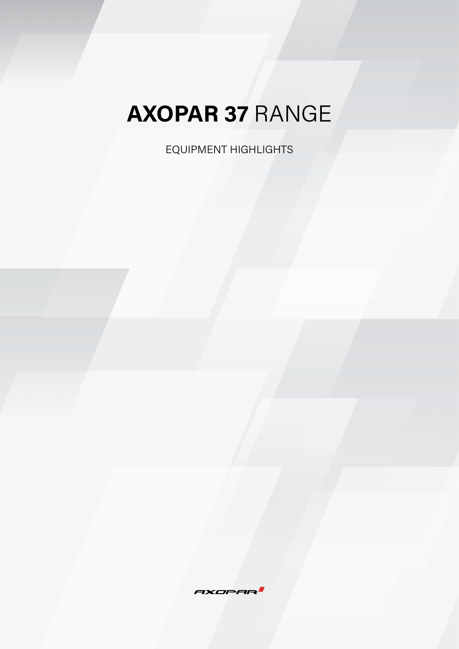EQUIPMENT HIGHLIGHTS

 $XOPf$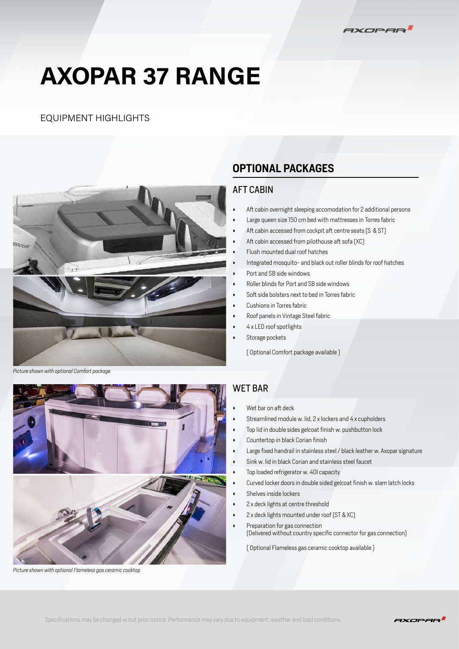### EQUIPMENT HIGHLIGHTS



### **OPTIONAL PACKAGES**

### AFT CABIN

- Aft cabin overnight sleeping accomodation for 2 additional persons
- Large queen size 150 cm bed with mattresses in Torres fabric
- Aft cabin accessed from cockpit aft centre seats (S & ST)
- Aft cabin accessed from pilothouse aft sofa (XC)
- Flush mounted dual roof hatches
- Integrated mosquito- and black out roller blinds for roof hatches
- Port and SB side windows
- Roller blinds for Port and SB side windows
- Soft side bolsters next to bed in Torres fabric
- Cushions in Torres fabric
- Roof panels in Vintage Steel fabric
- 4 x LED roof spotlights
- Storage pockets

( Optional Comfort package available )

*Picture shown with optional Comfort package*



*Picture shown with optional Flameless gas ceramic cooktop* 

### WET BAR

- Wet bar on aft deck
- Streamlined module w. lid, 2 x lockers and 4 x cupholders
- Top lid in double sides gelcoat finish w. pushbutton lock
- Countertop in black Corian finish
- Large fixed handrail in stainless steel / black leather w. Axopar signature
- Sink w. lid in black Corian and stainless steel faucet
- Top loaded refrigerator w. 40l capacity
- Curved locker doors in double sided gelcoat finish w. slam latch locks
- Shelves inside lockers
- 2 x deck lights at centre threshold
- 2 x deck lights mounted under roof (ST & XC)
- Preparation for gas connection (Delivered without country specific connector for gas connection)

( Optional Flameless gas ceramic cooktop available )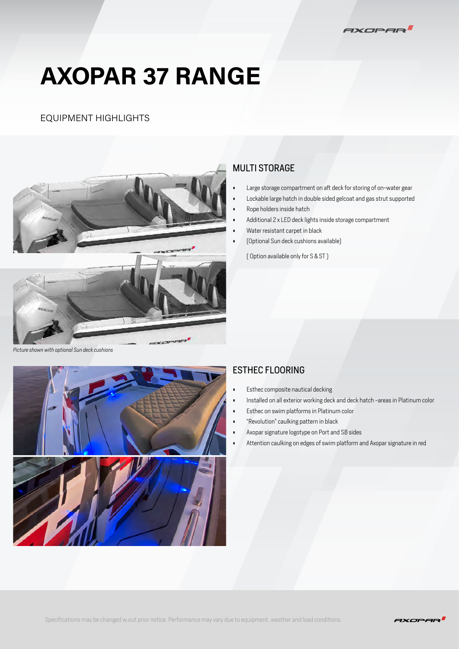

### EQUIPMENT HIGHLIGHTS



### MULTI STORAGE

- Large storage compartment on aft deck for storing of on-water gear
- Lockable large hatch in double sided gelcoat and gas strut supported
- Rope holders inside hatch
- Additional 2 x LED deck lights inside storage compartment
- Water resistant carpet in black
- (Optional Sun deck cushions available)

( Option available only for S & ST )

*Picture shown with optional Sun deck cushions*



### ESTHEC FLOORING

- Esthec composite nautical decking
- Installed on all exterior working deck and deck hatch -areas in Platinum color
- Esthec on swim platforms in Platinum color
- "Revolution" caulking pattern in black
- Axopar signature logotype on Port and SB sides
- Attention caulking on edges of swim platform and Axopar signature in red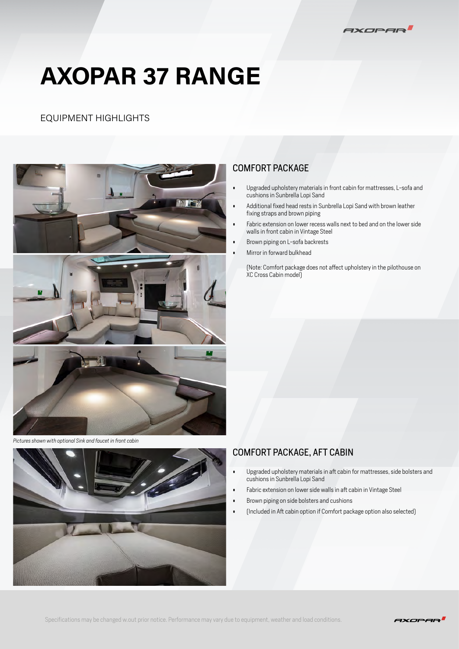

### EQUIPMENT HIGHLIGHTS



*Pictures shown with optional Sink and faucet in front cabin*

### COMFORT PACKAGE

- Upgraded upholstery materials in front cabin for mattresses, L-sofa and cushions in Sunbrella Lopi Sand
- Additional fixed head rests in Sunbrella Lopi Sand with brown leather fixing straps and brown piping
- Fabric extension on lower recess walls next to bed and on the lower side walls in front cabin in Vintage Steel
- Brown piping on L-sofa backrests
- Mirror in forward bulkhead

(Note: Comfort package does not affect upholstery in the pilothouse on XC Cross Cabin model)

### COMFORT PACKAGE, AFT CABIN

- Upgraded upholstery materials in aft cabin for mattresses, side bolsters and cushions in Sunbrella Lopi Sand
- Fabric extension on lower side walls in aft cabin in Vintage Steel
- Brown piping on side bolsters and cushions
- (Included in Aft cabin option if Comfort package option also selected)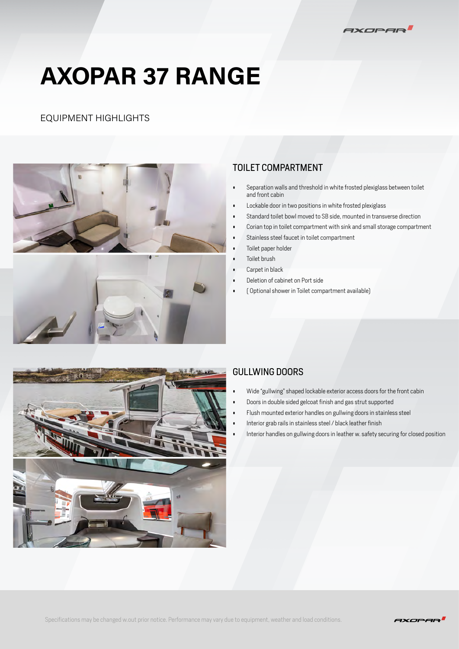

### EQUIPMENT HIGHLIGHTS



### TOILET COMPARTMENT

- Separation walls and threshold in white frosted plexiglass between toilet and front cabin
- Lockable door in two positions in white frosted plexiglass
- Standard toilet bowl moved to SB side, mounted in transverse direction
- Corian top in toilet compartment with sink and small storage compartment
- Stainless steel faucet in toilet compartment
- Toilet paper holder
- Toilet brush
- Carpet in black
- Deletion of cabinet on Port side
- ( Optional shower in Toilet compartment available)



### GULLWING DOORS

- Wide "gullwing" shaped lockable exterior access doors for the front cabin
- Doors in double sided gelcoat finish and gas strut supported
- Flush mounted exterior handles on gullwing doors in stainless steel
- Interior grab rails in stainless steel / black leather finish
- Interior handles on gullwing doors in leather w. safety securing for closed position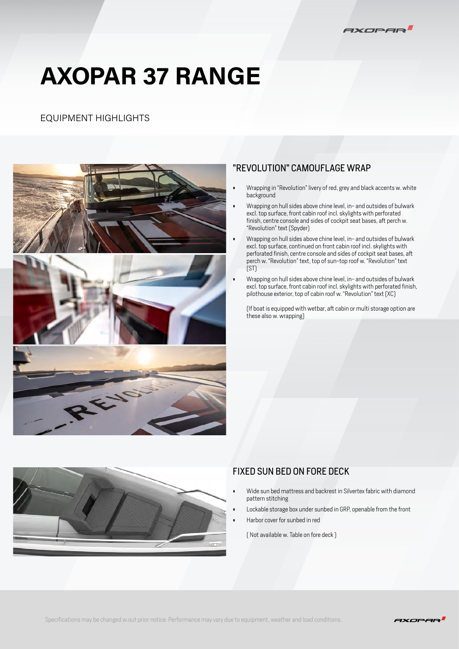

### EQUIPMENT HIGHLIGHTS



### "REVOLUTION" CAMOUFLAGE WRAP

- Wrapping in "Revolution" livery of red, grey and black accents w. white background
- Wrapping on hull sides above chine level, in- and outsides of bulwark excl. top surface, front cabin roof incl. skylights with perforated finish, centre console and sides of cockpit seat bases, aft perch w. "Revolution" text (Spyder)
- Wrapping on hull sides above chine level, in- and outsides of bulwark excl. top surface, continued on front cabin roof incl. skylights with perforated finish, centre console and sides of cockpit seat bases, aft perch w. "Revolution" text, top of sun-top roof w. "Revolution" text (ST)
- Wrapping on hull sides above chine level, in- and outsides of bulwark excl. top surface, front cabin roof incl. skylights with perforated finish, pilothouse exterior, top of cabin roof w. "Revolution" text (XC)

(If boat is equipped with wetbar, aft cabin or multi storage option are these also w. wrapping)



### FIXED SUN BED ON FORE DECK

- Wide sun bed mattress and backrest in Silvertex fabric with diamond pattern stitching
- Lockable storage box under sunbed in GRP, openable from the front
- Harbor cover for sunbed in red

( Not available w. Table on fore deck )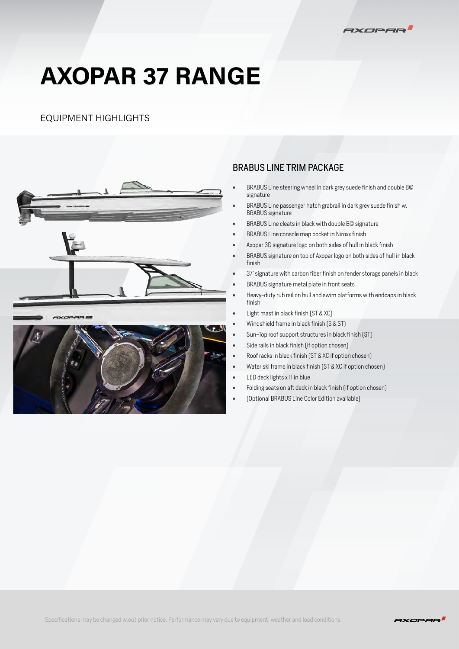

### EQUIPMENT HIGHLIGHTS



### BRABUS LINE TRIM PACKAGE

- BRABUS Line steering wheel in dark grey suede finish and double B© signature
- BRABUS Line passenger hatch grabrail in dark grey suede finish w. BRABUS signature
- BRABUS Line cleats in black with double B© signature
- BRABUS Line console map pocket in Niroxx finish
- Axopar 3D signature logo on both sides of hull in black finish
- BRABUS signature on top of Axopar logo on both sides of hull in black finish
- 37' signature with carbon fiber finish on fender storage panels in black
- BRABUS signature metal plate in front seats
- Heavy-duty rub rail on hull and swim platforms with endcaps in black finish
- Light mast in black finish (ST & XC)
- Windshield frame in black finish (S & ST)
- Sun-Top roof support structures in black finish (ST)
- Side rails in black finish (if option chosen)
- Roof racks in black finish (ST & XC if option chosen)
- Water ski frame in black finish (ST & XC if option chosen)
- LED deck lights x 11 in blue
- Folding seats on aft deck in black finish (if option chosen)
- (Optional BRABUS Line Color Edition available)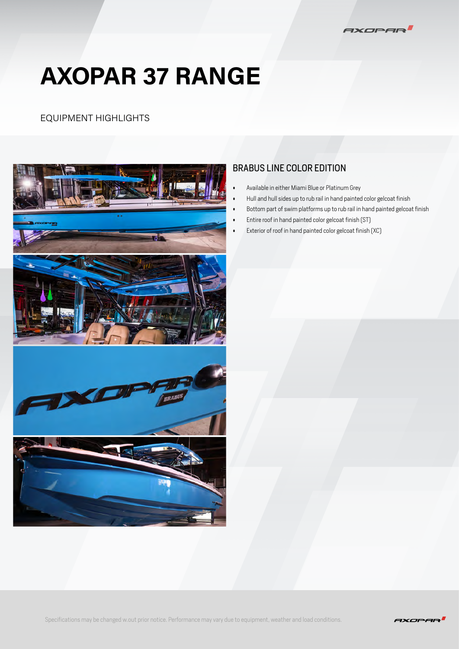

### EQUIPMENT HIGHLIGHTS



### BRABUS LINE COLOR EDITION

- Available in either Miami Blue or Platinum Grey
- Hull and hull sides up to rub rail in hand painted color gelcoat finish
- Bottom part of swim platforms up to rub rail in hand painted gelcoat finish
- Entire roof in hand painted color gelcoat finish (ST)
- Exterior of roof in hand painted color gelcoat finish (XC)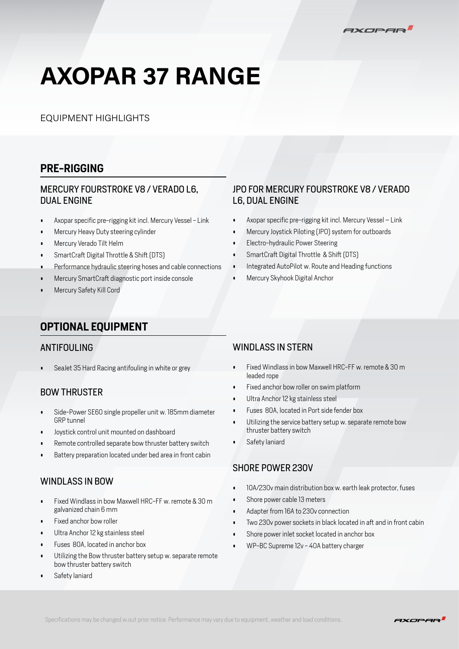AXOPAR

EQUIPMENT HIGHLIGHTS

### **PRE-RIGGING**

### MERCURY FOURSTROKE V8 / VERADO L6, DUAL ENGINE

- Axopar specific pre-rigging kit incl. Mercury Vessel Link
- Mercury Heavy Duty steering cylinder
- Mercury Verado Tilt Helm
- SmartCraft Digital Throttle & Shift (DTS)
- Performance hydraulic steering hoses and cable connections
- Mercury SmartCraft diagnostic port inside console
- Mercury Safety Kill Cord

### JPO FOR MERCURY FOURSTROKE V8 / VERADO L6, DUAL ENGINE

- Axopar specific pre-rigging kit incl. Mercury Vessel Link
- Mercury Joystick Piloting (JPO) system for outboards
- Electro-hydraulic Power Steering
- SmartCraft Digital Throttle & Shift (DTS)
- Integrated AutoPilot w. Route and Heading functions
- Mercury Skyhook Digital Anchor

### **OPTIONAL EQUIPMENT**

#### ANTIFOULING

• SeaJet 35 Hard Racing antifouling in white or grey

### BOW THRUSTER

- Side-Power SE60 single propeller unit w. 185mm diameter GRP tunnel
- Joystick control unit mounted on dashboard
- Remote controlled separate bow thruster battery switch
- Battery preparation located under bed area in front cabin

### WINDLASS IN BOW

- Fixed Windlass in bow Maxwell HRC-FF w. remote & 30 m galvanized chain 6 mm
- Fixed anchor bow roller
- Ultra Anchor 12 kg stainless steel
- Fuses 80A, located in anchor box
- Utilizing the Bow thruster battery setup w. separate remote bow thruster battery switch
- Safety laniard

#### WINDLASS IN STERN

- Fixed Windlass in bow Maxwell HRC-FF w. remote & 30 m leaded rope
- Fixed anchor bow roller on swim platform
- Ultra Anchor 12 kg stainless steel
- Fuses 80A, located in Port side fender box
- Utilizing the service battery setup w. separate remote bow thruster battery switch
- Safety laniard

#### SHORE POWER 230V

- 10A/230v main distribution box w. earth leak protector, fuses
- Shore power cable 13 meters
- Adapter from 16A to 230v connection
- Two 230v power sockets in black located in aft and in front cabin
- Shore power inlet socket located in anchor box
- WP-BC Supreme 12v 40A battery charger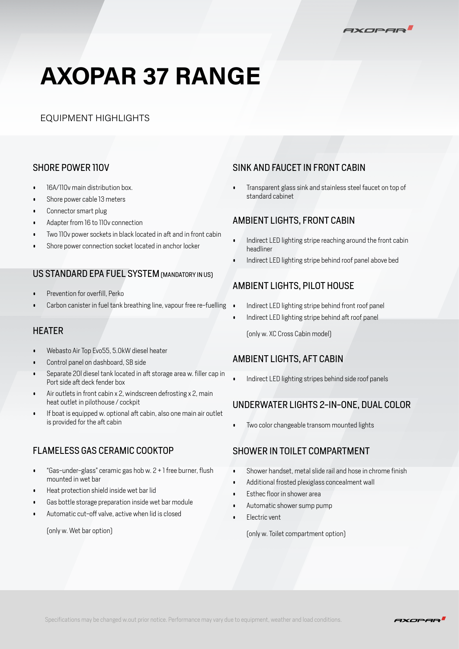AXOPAR

EQUIPMENT HIGHLIGHTS

### SHORE POWER 110V

- 16A/110v main distribution box.
- Shore power cable 13 meters
- Connector smart plug
- Adapter from 16 to 110v connection
- Two 110v power sockets in black located in aft and in front cabin
- Shore power connection socket located in anchor locker

### US STANDARD EPA FUEL SYSTEM (MANDATORY IN US)

- Prevention for overfill, Perko
- Carbon canister in fuel tank breathing line, vapour free re-fuelling

- Webasto Air Top Evo55, 5.0kW diesel heater
- Control panel on dashboard, SB side
- Separate 20l diesel tank located in aft storage area w. filler cap in Port side aft deck fender box
- Air outlets in front cabin x 2, windscreen defrosting x 2, main heat outlet in pilothouse / cockpit
- If boat is equipped w. optional aft cabin, also one main air outlet is provided for the aft cabin

### FLAMELESS GAS CERAMIC COOKTOP

- "Gas-under-glass" ceramic gas hob w. 2 + 1 free burner, flush mounted in wet bar
- Heat protection shield inside wet bar lid
- Gas bottle storage preparation inside wet bar module
- Automatic cut-off valve, active when lid is closed

(only w. Wet bar option)

### SINK AND FAUCET IN FRONT CABIN

• Transparent glass sink and stainless steel faucet on top of standard cabinet

### AMBIENT LIGHTS, FRONT CABIN

- Indirect LED lighting stripe reaching around the front cabin headliner
- Indirect LED lighting stripe behind roof panel above bed

### AMBIENT LIGHTS, PILOT HOUSE

- Indirect LED lighting stripe behind front roof panel
- Indirect LED lighting stripe behind aft roof panel

HEATER (only w. XC Cross Cabin model)

### AMBIENT LIGHTS, AFT CABIN

• Indirect LED lighting stripes behind side roof panels

### UNDERWATER LIGHTS 2-IN-ONE, DUAL COLOR

• Two color changeable transom mounted lights

### SHOWER IN TOILET COMPARTMENT

- Shower handset, metal slide rail and hose in chrome finish
- Additional frosted plexiglass concealment wall
- Esthec floor in shower area
- Automatic shower sump pump
- Electric vent

(only w. Toilet compartment option)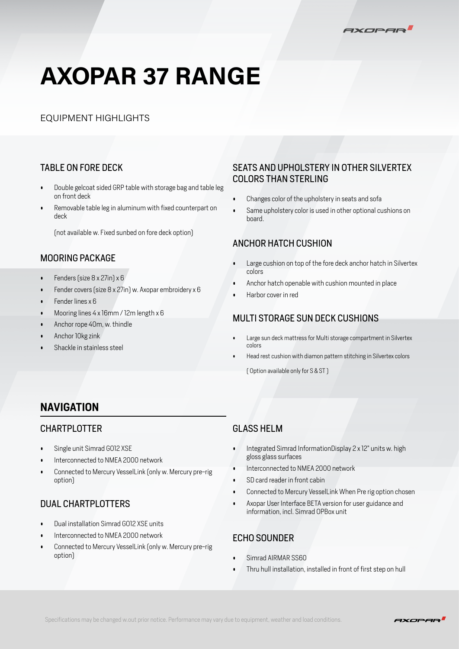

### EQUIPMENT HIGHLIGHTS

### TABLE ON FORE DECK

- Double gelcoat sided GRP table with storage bag and table leg on front deck
- Removable table leg in aluminum with fixed counterpart on deck

(not available w. Fixed sunbed on fore deck option)

### MOORING PACKAGE

- Fenders (size 8 x 27in) x 6
- Fender covers (size 8 x 27in) w. Axopar embroidery x 6
- Fender lines x 6
- Mooring lines 4 x 16mm / 12m length x 6
- Anchor rope 40m, w. thindle
- Anchor 10kg zink
- Shackle in stainless steel

### SEATS AND UPHOLSTERY IN OTHER SILVERTEX COLORS THAN STERLING

- Changes color of the upholstery in seats and sofa
- Same upholstery color is used in other optional cushions on board.

#### ANCHOR HATCH CUSHION

- Large cushion on top of the fore deck anchor hatch in Silvertex colors
- Anchor hatch openable with cushion mounted in place
- Harbor cover in red

### MULTI STORAGE SUN DECK CUSHIONS

- Large sun deck mattress for Multi storage compartment in Silvertex colors
- Head rest cushion with diamon pattern stitching in Silvertex colors

( Option available only for S & ST )

### **NAVIGATION**

### CHARTPLOTTER

- Single unit Simrad GO12 XSE
- Interconnected to NMEA 2000 network
- Connected to Mercury VesselLink (only w. Mercury pre-rig option)

### DUAL CHARTPLOTTERS

- Dual installation Simrad GO12 XSE units
- Interconnected to NMEA 2000 network
- Connected to Mercury VesselLink (only w. Mercury pre-rig option)

### GLASS HELM

- Integrated Simrad InformationDisplay 2 x 12" units w. high gloss glass surfaces
- Interconnected to NMEA 2000 network
- SD card reader in front cabin
- Connected to Mercury VesselLink When Pre rig option chosen
- Axopar User Interface BETA version for user guidance and information, incl. Simrad OPBox unit

### ECHO SOUNDER

- Simrad AIRMAR SS60
- Thru hull installation, installed in front of first step on hull